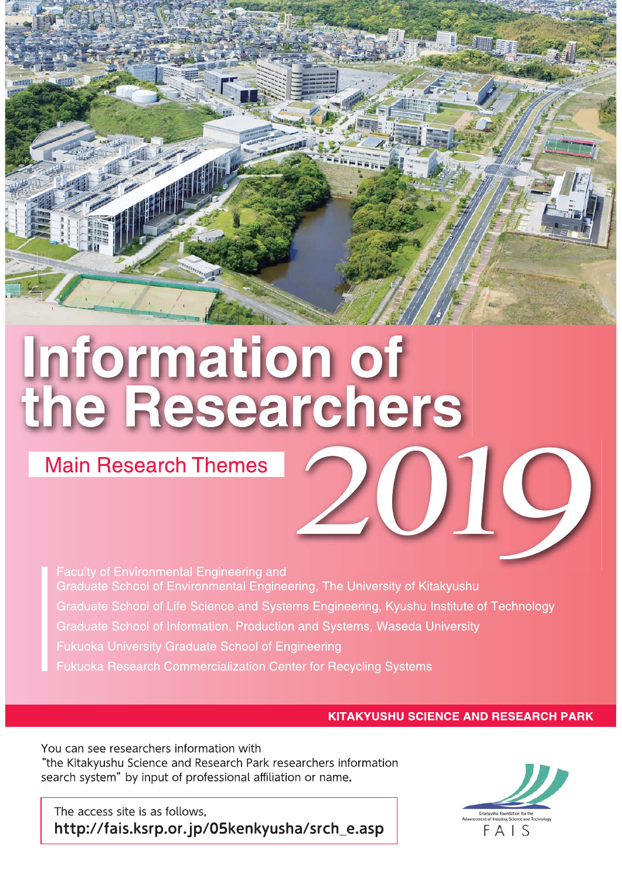# Information of<br>the Researchers

# **Main Research Themes**

Faculty of Environmental Engineering and Graduate School of Environmental Engineering, The University of Kitakyushu Graduate School of Life Science and Systems Engineering, Kyushu Institute of Technology Graduate School of Information, Production and Systems, Waseda University Fukuoka University Graduate School of Engineering Fukuoka Research Commercialization Center for Recycling Systems

# **KITAKYUSHU SCIENCE AND RESEARCH PARK**

You can see researchers information with "the Kitakyushu Science and Research Park researchers information search system" by input of professional affiliation or name.

The access site is as follows, http://fais.ksrp.or.jp/05kenkyusha/srch\_e.asp

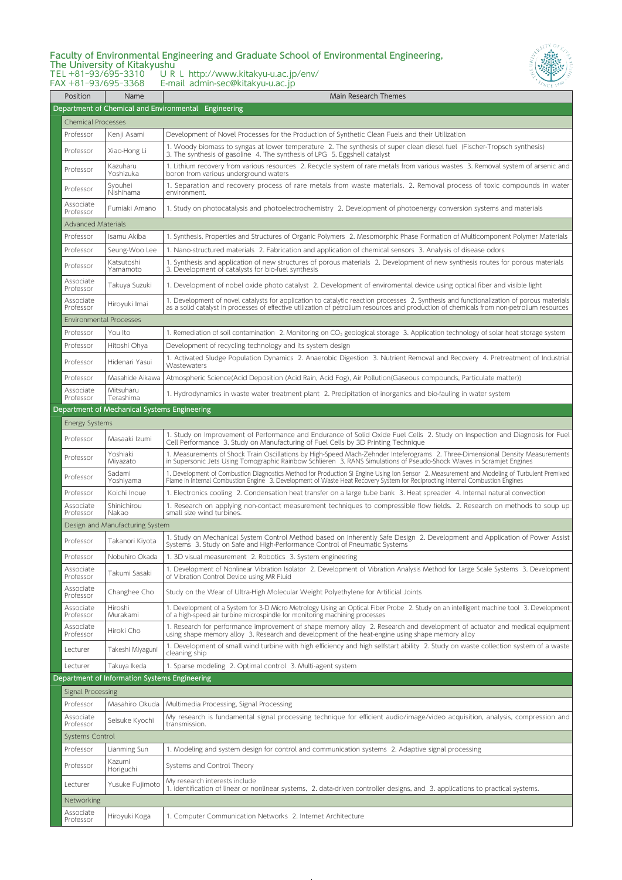#### Faculty of Environmental Engineering and Graduate School of Environmental Engineering, The University of Kitakyushu TEL +81‒93/695‒3310 URL http://www.kitakyu-u.ac.jp/env/



FAX +81‒93/695‒3368 E-mail admin-sec@kitakyu-u.ac.jp

| Position                             | Name                                          | Main Research Themes                                                                                                                                                                                                                                                                  |  |  |  |
|--------------------------------------|-----------------------------------------------|---------------------------------------------------------------------------------------------------------------------------------------------------------------------------------------------------------------------------------------------------------------------------------------|--|--|--|
|                                      |                                               | Department of Chemical and Environmental Engineering                                                                                                                                                                                                                                  |  |  |  |
| <b>Chemical Processes</b>            |                                               |                                                                                                                                                                                                                                                                                       |  |  |  |
| Professor                            | Kenji Asami                                   | Development of Novel Processes for the Production of Synthetic Clean Fuels and their Utilization                                                                                                                                                                                      |  |  |  |
| Professor                            | Xiao-Hong Li                                  | 1. Woody biomass to syngas at lower temperature 2. The synthesis of super clean diesel fuel (Fischer-Tropsch synthesis)<br>3. The synthesis of gasoline 4. The synthesis of LPG 5. Eggshell catalyst                                                                                  |  |  |  |
| Professor                            | Kazuharu<br>Yoshizuka                         | 1. Lithium recovery from various resources 2. Recycle system of rare metals from various wastes 3. Removal system of arsenic and<br>boron from various underground waters                                                                                                             |  |  |  |
| Professor                            | Syouhei<br>Nishihama                          | 1. Separation and recovery process of rare metals from waste materials. 2. Removal process of toxic compounds in water<br>environment.                                                                                                                                                |  |  |  |
| Associate<br>Professor               | Fumiaki Amano                                 | 1. Study on photocatalysis and photoelectrochemistry 2. Development of photoenergy conversion systems and materials                                                                                                                                                                   |  |  |  |
| <b>Advanced Materials</b>            |                                               |                                                                                                                                                                                                                                                                                       |  |  |  |
| Professor                            | Isamu Akiba                                   | 1. Synthesis, Properties and Structures of Organic Polymers 2. Mesomorphic Phase Formation of Multicomponent Polymer Materials                                                                                                                                                        |  |  |  |
| Professor                            | Seung-Woo Lee                                 | 1. Nano-structured materials 2. Fabrication and application of chemical sensors 3. Analysis of disease odors                                                                                                                                                                          |  |  |  |
| Professor                            | Katsutoshi<br>Yamamoto                        | 1. Synthesis and application of new structures of porous materials 2. Development of new synthesis routes for porous materials<br>3. Development of catalysts for bio-fuel synthesis                                                                                                  |  |  |  |
| Associate<br>Professor               | Takuya Suzuki                                 | 1. Development of nobel oxide photo catalyst 2. Development of enviromental device using optical fiber and visible light                                                                                                                                                              |  |  |  |
| Associate<br>Professor               | Hiroyuki Imai                                 | 1. Development of novel catalysts for application to catalytic reaction processes 2. Synthesis and functionalization of porous materials<br>as a solid catalyst in processes of effective utilization of petrolium resources and production of chemicals from non-petrolium resources |  |  |  |
| <b>Environmental Processes</b>       |                                               |                                                                                                                                                                                                                                                                                       |  |  |  |
| Professor                            | You Ito                                       | 1. Remediation of soil contamination 2. Monitoring on CO <sub>2</sub> geological storage 3. Application technology of solar heat storage system                                                                                                                                       |  |  |  |
| Professor                            | Hitoshi Ohya                                  | Development of recycling technology and its system design                                                                                                                                                                                                                             |  |  |  |
| Professor                            | Hidenari Yasui                                | 1. Activated Sludge Population Dynamics 2. Anaerobic Digestion 3. Nutrient Removal and Recovery 4. Pretreatment of Industrial<br>Wastewaters                                                                                                                                          |  |  |  |
| Professor                            | Masahide Aikawa                               | Atmospheric Science(Acid Deposition (Acid Rain, Acid Fog), Air Pollution(Gaseous compounds, Particulate matter))                                                                                                                                                                      |  |  |  |
| Associate<br>Professor               | Mitsuharu<br>Terashima                        | 1. Hydrodynamics in waste water treatment plant 2. Precipitation of inorganics and bio-fauling in water system                                                                                                                                                                        |  |  |  |
|                                      | Department of Mechanical Systems Engineering  |                                                                                                                                                                                                                                                                                       |  |  |  |
| <b>Energy Systems</b>                |                                               |                                                                                                                                                                                                                                                                                       |  |  |  |
| Professor                            | Masaaki Izumi                                 | 1. Study on Improvement of Performance and Endurance of Solid Oxide Fuel Cells 2. Study on Inspection and Diagnosis for Fuel<br>Cell Performance 3. Study on Manufacturing of Fuel Cells by 3D Printing Technique                                                                     |  |  |  |
| Professor                            | Yoshiaki<br>Miyazato                          | 1. Measurements of Shock Train Oscillations by High-Speed Mach-Zehnder Inteferograms 2. Three-Dimensional Density Measurements<br>in Supersonic Jets Using Tomographic Rainbow Schlieren 3. RANS Simulations of Pseudo-Shock Waves in Scramjet Engines                                |  |  |  |
| Professor                            | Sadami<br>Yoshiyama                           | 1. Development of Combustion Diagnostics Method for Production SI Engine Using Ion Sensor 2. Measurement and Modeling of Turbulent Premixed<br>Flame in Internal Combustion Engine 3. Development of Waste Heat Recovery System for Reciprocting Internal Combustion Engines          |  |  |  |
| Professor                            | Koichi Inoue                                  | 1. Electronics cooling 2. Condensation heat transfer on a large tube bank 3. Heat spreader 4. Internal natural convection                                                                                                                                                             |  |  |  |
| Associate<br>Professor               | Shinichirou<br>Nakao                          | 1. Research on applying non-contact measurement techniques to compressible flow fields. 2. Research on methods to soup up<br>small size wind turbines.                                                                                                                                |  |  |  |
|                                      | Design and Manufacturing System               |                                                                                                                                                                                                                                                                                       |  |  |  |
| Professor                            | Takanori Kiyota                               | 1. Study on Mechanical System Control Method based on Inherently Safe Design 2. Development and Application of Power Assist<br>Systems 3. Study on Safe and High-Performance Control of Pneumatic Systems                                                                             |  |  |  |
| Professor                            | Nobuhiro Okada                                | 1. 3D visual measurement 2. Robotics 3. System engineering                                                                                                                                                                                                                            |  |  |  |
| Associate<br>Professor               | Takumi Sasaki                                 | 1. Development of Nonlinear Vibration Isolator 2. Development of Vibration Analysis Method for Large Scale Systems 3. Development<br>of Vibration Control Device using MR Fluid                                                                                                       |  |  |  |
| Associate<br>Professor               | Changhee Cho                                  | Study on the Wear of Ultra-High Molecular Weight Polyethylene for Artificial Joints                                                                                                                                                                                                   |  |  |  |
| Associate<br>Professor               | Hiroshi<br>Murakami                           | 1. Development of a System for 3-D Micro Metrology Using an Optical Fiber Probe 2. Study on an intelligent machine tool 3. Development<br>of a high-speed air turbine microspindle for monitoring machining processes                                                                 |  |  |  |
| Associate<br>Professor               | Hiroki Cho                                    | 1. Research for performance improvement of shape memory alloy 2. Research and development of actuator and medical equipment<br>using shape memory alloy 3. Research and development of the heat-engine using shape memory alloy                                                       |  |  |  |
| Lecturer                             | Takeshi Miyaguni                              | 1. Development of small wind turbine with high efficiency and high selfstart ability 2. Study on waste collection system of a waste<br>cleaning ship                                                                                                                                  |  |  |  |
| Lecturer                             | Takuya Ikeda                                  | 1. Sparse modeling 2. Optimal control 3. Multi-agent system                                                                                                                                                                                                                           |  |  |  |
|                                      | Department of Information Systems Engineering |                                                                                                                                                                                                                                                                                       |  |  |  |
| <b>Signal Processing</b>             |                                               |                                                                                                                                                                                                                                                                                       |  |  |  |
| Professor<br>Associate               | Masahiro Okuda                                | Multimedia Processing, Signal Processing<br>My research is fundamental signal processing technique for efficient audio/image/video acquisition, analysis, compression and                                                                                                             |  |  |  |
| Professor<br>Systems Control         | Seisuke Kyochi                                | transmission.                                                                                                                                                                                                                                                                         |  |  |  |
|                                      |                                               | 1. Modeling and system design for control and communication systems 2. Adaptive signal processing                                                                                                                                                                                     |  |  |  |
| Professor<br>Professor               | Lianming Sun<br>Kazumi                        | Systems and Control Theory                                                                                                                                                                                                                                                            |  |  |  |
| Lecturer                             | Horiguchi<br>Yusuke Fujimoto                  | My research interests include                                                                                                                                                                                                                                                         |  |  |  |
|                                      |                                               | 1. identification of linear or nonlinear systems, 2. data-driven controller designs, and 3. applications to practical systems.                                                                                                                                                        |  |  |  |
| Networking<br>Associate<br>Professor | Hiroyuki Koga                                 | 1. Computer Communication Networks 2. Internet Architecture                                                                                                                                                                                                                           |  |  |  |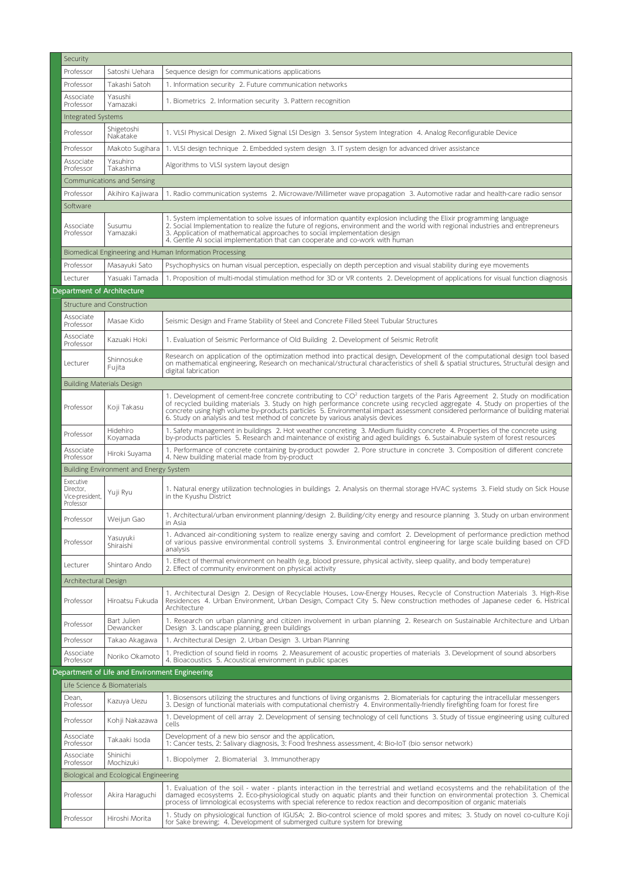| Security                                  |                                                |                                                                                                                                                                                                                                                                                                                                                                                                                                                                                            |  |  |
|-------------------------------------------|------------------------------------------------|--------------------------------------------------------------------------------------------------------------------------------------------------------------------------------------------------------------------------------------------------------------------------------------------------------------------------------------------------------------------------------------------------------------------------------------------------------------------------------------------|--|--|
| Professor                                 | Satoshi Uehara                                 | Sequence design for communications applications                                                                                                                                                                                                                                                                                                                                                                                                                                            |  |  |
| Professor                                 | Takashi Satoh                                  | 1. Information security 2. Future communication networks                                                                                                                                                                                                                                                                                                                                                                                                                                   |  |  |
| Associate                                 | Yasushi                                        | 1. Biometrics 2. Information security 3. Pattern recognition                                                                                                                                                                                                                                                                                                                                                                                                                               |  |  |
| Professor                                 | Yamazaki                                       |                                                                                                                                                                                                                                                                                                                                                                                                                                                                                            |  |  |
| Integrated Systems                        |                                                |                                                                                                                                                                                                                                                                                                                                                                                                                                                                                            |  |  |
| Professor                                 | Shigetoshi<br>Nakatake                         | 1. VLSI Physical Design 2. Mixed Signal LSI Design 3. Sensor System Integration 4. Analog Reconfigurable Device                                                                                                                                                                                                                                                                                                                                                                            |  |  |
| Professor                                 | Makoto Sugihara                                | 1. VLSI design technique 2. Embedded system design 3. IT system design for advanced driver assistance                                                                                                                                                                                                                                                                                                                                                                                      |  |  |
| Associate<br>Professor                    | Yasuhiro<br>Takashima                          | Algorithms to VLSI system layout design                                                                                                                                                                                                                                                                                                                                                                                                                                                    |  |  |
|                                           | Communications and Sensing                     |                                                                                                                                                                                                                                                                                                                                                                                                                                                                                            |  |  |
| Professor                                 | Akihiro Kajiwara                               | 1. Radio communication systems 2. Microwave/Millimeter wave propagation 3. Automotive radar and health-care radio sensor                                                                                                                                                                                                                                                                                                                                                                   |  |  |
| Software                                  |                                                |                                                                                                                                                                                                                                                                                                                                                                                                                                                                                            |  |  |
| Associate<br>Professor                    | Susumu<br>Yamazaki                             | 1. System implementation to solve issues of information quantity explosion including the Elixir programming language<br>2. Social Implementation to realize the future of regions, environment and the world with regional industries and entrepreneurs<br>3. Application of mathematical approaches to social implementation design<br>4. Gentle AI social implementation that can cooperate and co-work with human                                                                       |  |  |
|                                           |                                                | Biomedical Engineering and Human Information Processing                                                                                                                                                                                                                                                                                                                                                                                                                                    |  |  |
| Professor                                 | Masayuki Sato                                  | Psychophysics on human visual perception, especially on depth perception and visual stability during eye movements                                                                                                                                                                                                                                                                                                                                                                         |  |  |
| Lecturer                                  | Yasuaki Tamada                                 | 1. Proposition of multi-modal stimulation method for 3D or VR contents 2. Development of applications for visual function diagnosis                                                                                                                                                                                                                                                                                                                                                        |  |  |
| Department of Architecture                |                                                |                                                                                                                                                                                                                                                                                                                                                                                                                                                                                            |  |  |
|                                           | Structure and Construction                     |                                                                                                                                                                                                                                                                                                                                                                                                                                                                                            |  |  |
| Associate<br>Professor                    | Masae Kido                                     | Seismic Design and Frame Stability of Steel and Concrete Filled Steel Tubular Structures                                                                                                                                                                                                                                                                                                                                                                                                   |  |  |
| Associate<br>Professor                    | Kazuaki Hoki                                   | 1. Evaluation of Seismic Performance of Old Building 2. Development of Seismic Retrofit                                                                                                                                                                                                                                                                                                                                                                                                    |  |  |
|                                           | Shinnosuke                                     | Research on application of the optimization method into practical design, Development of the computational design tool based                                                                                                                                                                                                                                                                                                                                                               |  |  |
| Lecturer                                  | Fujita                                         | on mathematical engineering, Research on mechanical/structural characteristics of shell & spatial structures, Structural design and<br>digital fabrication                                                                                                                                                                                                                                                                                                                                 |  |  |
| <b>Building Materials Design</b>          |                                                |                                                                                                                                                                                                                                                                                                                                                                                                                                                                                            |  |  |
| Professor                                 | Koji Takasu                                    | 1. Development of cement-free concrete contributing to CO <sup>2</sup> reduction targets of the Paris Agreement 2. Study on modification<br>of recycled building materials 3. Study on high performance concrete using recycled aggregate 4. Study on properties of the<br>concrete using high volume by-products particles 5. Environmental impact assessment considered performance of building material<br>6. Study on analysis and test method of concrete by various analysis devices |  |  |
| Professor                                 | Hidehiro<br>Koyamada                           | 1. Safety management in buildings 2. Hot weather concreting 3. Medium fluidity concrete 4. Properties of the concrete using<br>by-products particles 5. Research and maintenance of existing and aged buildings 6. Sustainabule system of forest resources                                                                                                                                                                                                                                 |  |  |
| Associate<br>Professor                    | Hiroki Suyama                                  | 1. Performance of concrete containing by-product powder 2. Pore structure in concrete 3. Composition of different concrete<br>4. New building material made from by-product                                                                                                                                                                                                                                                                                                                |  |  |
|                                           | Building Environment and Energy System         |                                                                                                                                                                                                                                                                                                                                                                                                                                                                                            |  |  |
| Executive                                 |                                                |                                                                                                                                                                                                                                                                                                                                                                                                                                                                                            |  |  |
| Director.<br>Vice-president,<br>Professor | Yuji Ryu                                       | 1. Natural energy utilization technologies in buildings 2. Analysis on thermal storage HVAC systems 3. Field study on Sick House<br>in the Kyushu District                                                                                                                                                                                                                                                                                                                                 |  |  |
| Professor                                 | Weijun Gao                                     | 1. Architectural/urban environment planning/design 2. Building/city energy and resource planning 3. Study on urban environment<br>in Asia                                                                                                                                                                                                                                                                                                                                                  |  |  |
| Professor                                 | Yasuyuki<br>Shiraishi                          | 1. Advanced air-conditioning system to realize energy saving and comfort 2. Development of performance prediction method<br>of various passive environmental controll systems 3. Environmental control engineering for large scale building based on CFD<br>analysis                                                                                                                                                                                                                       |  |  |
| Lecturer                                  | Shintaro Ando                                  | 1. Effect of thermal environment on health (e.g. blood pressure, physical activity, sleep quality, and body temperature)<br>2. Effect of community environment on physical activity                                                                                                                                                                                                                                                                                                        |  |  |
| Architectural Design                      |                                                |                                                                                                                                                                                                                                                                                                                                                                                                                                                                                            |  |  |
| Professor                                 | Hiroatsu Fukuda                                | 1. Architectural Design 2. Design of Recyclable Houses, Low-Energy Houses, Recycle of Construction Materials 3. High-Rise<br>Residences 4. Urban Environment, Urban Design, Compact City 5. New construction methodes of Japanese ceder 6. Histrical<br>Architecture                                                                                                                                                                                                                       |  |  |
| Professor                                 | Bart Julien<br>Dewancker                       | 1. Research on urban planning and citizen involvement in urban planning 2. Research on Sustainable Architecture and Urban<br>Design 3. Landscape planning, green buildings                                                                                                                                                                                                                                                                                                                 |  |  |
| Professor                                 | Takao Akagawa                                  | 1. Architectural Design 2. Urban Design 3. Urban Planning                                                                                                                                                                                                                                                                                                                                                                                                                                  |  |  |
| Associate<br>Professor                    | Noriko Okamoto                                 | 1. Prediction of sound field in rooms 2. Measurement of acoustic properties of materials 3. Development of sound absorbers<br>4. Bioacoustics 5. Acoustical environment in public spaces                                                                                                                                                                                                                                                                                                   |  |  |
|                                           | Department of Life and Environment Engineering |                                                                                                                                                                                                                                                                                                                                                                                                                                                                                            |  |  |
|                                           | Life Science & Biomaterials                    |                                                                                                                                                                                                                                                                                                                                                                                                                                                                                            |  |  |
| Dean,<br>Professor                        | Kazuya Uezu                                    | 1. Biosensors utilizing the structures and functions of living organisms 2. Biomaterials for capturing the intracellular messengers<br>3. Design of functional materials with computational chemistry 4. Environmentally-friendly firefighting foam for forest fire                                                                                                                                                                                                                        |  |  |
| Professor                                 | Kohji Nakazawa                                 | 1. Development of cell array 2. Development of sensing technology of cell functions 3. Study of tissue engineering using cultured<br>cells                                                                                                                                                                                                                                                                                                                                                 |  |  |
| Associate<br>Professor                    | Takaaki Isoda                                  | Development of a new bio sensor and the application,<br>1: Cancer tests, 2: Salivary diagnosis, 3: Food freshness assessment, 4: Bio-IoT (bio sensor network)                                                                                                                                                                                                                                                                                                                              |  |  |
| Associate<br>Professor                    | Shinichi<br>Mochizuki                          | 1. Biopolymer 2. Biomaterial 3. Immunotherapy                                                                                                                                                                                                                                                                                                                                                                                                                                              |  |  |
|                                           | Biological and Ecological Engineering          |                                                                                                                                                                                                                                                                                                                                                                                                                                                                                            |  |  |
| Professor                                 | Akira Haraguchi                                | 1. Evaluation of the soil - water - plants interaction in the terrestrial and wetland ecosystems and the rehabilitation of the<br>damaged ecosystems 2. Eco-physiological study on aquatic plants and their function on environmental protection 3. Chemical<br>process of limnological ecosystems with special reference to redox reaction and decomposition of organic materials                                                                                                         |  |  |
| Professor                                 | Hiroshi Morita                                 | 1. Study on physiological function of IGUSA; 2. Bio-control science of mold spores and mites; 3. Study on novel co-culture Koji<br>for Sake brewing; 4. Development of submerged culture system for brewing                                                                                                                                                                                                                                                                                |  |  |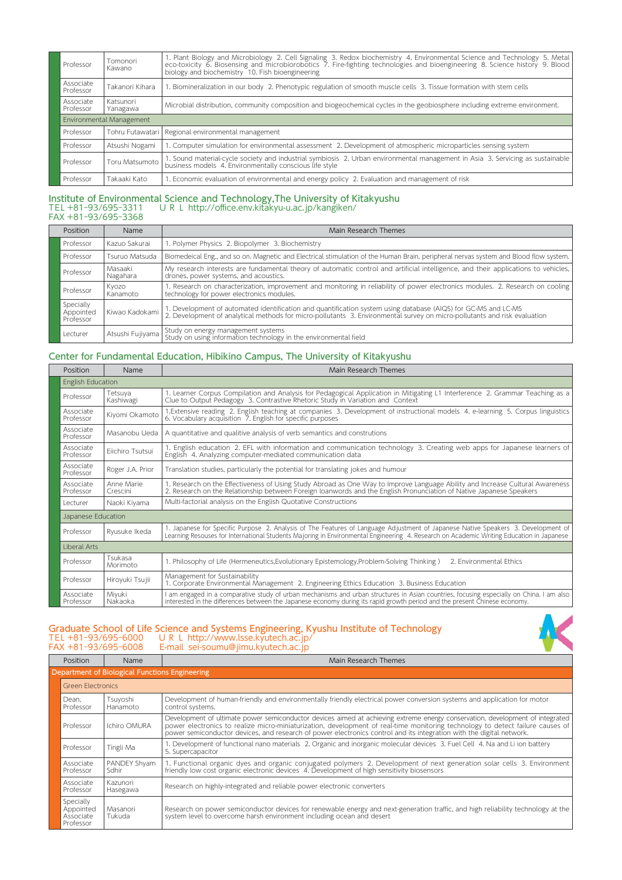| Professor              | Tomonori<br>Kawano       | 1. Plant Biology and Microbiology 2. Cell Signaling 3. Redox biochemistry 4. Environmental Science and Technology 5. Metal<br>eco-toxicity 6. Biosensing and microbiorobotics 7. Fire-fighting technologies and bioengineering 8. Science history 9. Blood<br>biology and biochemistry 10. Fish bioengineering |
|------------------------|--------------------------|----------------------------------------------------------------------------------------------------------------------------------------------------------------------------------------------------------------------------------------------------------------------------------------------------------------|
| Associate<br>Professor | Takanori Kihara          | 1. Biomineralization in our body 2. Phenotypic regulation of smooth muscle cells 3. Tissue formation with stem cells                                                                                                                                                                                           |
| Associate<br>Professor | Katsunori<br>Yanagawa    | Microbial distribution, community composition and biogeochemical cycles in the geobiosphere including extreme environment.                                                                                                                                                                                     |
|                        | Environmental Management |                                                                                                                                                                                                                                                                                                                |
| Professor              | Tohru Futawatari I       | Regional environmental management                                                                                                                                                                                                                                                                              |
| Professor              | Atsushi Nogami           | 1. Computer simulation for environmental assessment 2. Development of atmospheric microparticles sensing system                                                                                                                                                                                                |
| Professor              | Toru Matsumoto           | 1. Sound material-cycle society and industrial symbiosis 2. Urban environmental management in Asia 3. Servicing as sustainable<br>business models 4. Environmentally conscious life style                                                                                                                      |
| Professor              | Takaaki Kato             | 1. Economic evaluation of environmental and energy policy 2. Evaluation and management of risk                                                                                                                                                                                                                 |

#### Institute of Environmental Science and Technology,The University of Kitakyushu TEL +81‒93/695‒3311 URL http://office.env.kitakyu-u.ac.jp/kangiken/ FAX +81‒93/695‒3368

| Position                            | <b>Name</b>         | Main Research Themes                                                                                                                                                                                                                        |
|-------------------------------------|---------------------|---------------------------------------------------------------------------------------------------------------------------------------------------------------------------------------------------------------------------------------------|
| Professor                           | Kazuo Sakurai       | 1. Polymer Physics 2. Biopolymer 3. Biochemistry                                                                                                                                                                                            |
| Professor                           | Tsuruo Matsuda      | Biomedeical Eng., and so on. Magnetic and Electrical stimulation of the Human Brain, peripheral nervas system and Blood flow system.                                                                                                        |
| Professor                           | Masaaki<br>Nagahara | My research interests are fundamental theory of automatic control and artificial intelligence, and their applications to vehicles,<br>drones, power systems, and acoustics.                                                                 |
| Professor                           | Kvozo<br>Kanamoto   | 1. Research on characterization, improvement and monitoring in reliability of power electronics modules. 2. Research on cooling<br>technology for power electronics modules.                                                                |
| Specially<br>Appointed<br>Professor | Kiwao Kadokami      | 1. Development of automated identification and quantification system using database (AIQS) for GC-MS and LC-MS<br>2. Development of analytical methods for micro-pollutants 3. Environmental survey on micro-pollutants and risk evaluation |
| Lecturer                            | Atsushi Fujiyama    | Study on energy management systems<br>Study on using information technology in the environmental field                                                                                                                                      |

### Center for Fundamental Education, Hibikino Campus, The University of Kitakyushu

| Position               | Name                   | Main Research Themes                                                                                                                                                                                                                                                          |
|------------------------|------------------------|-------------------------------------------------------------------------------------------------------------------------------------------------------------------------------------------------------------------------------------------------------------------------------|
| English Education      |                        |                                                                                                                                                                                                                                                                               |
| Professor              | Tetsuva<br>Kashiwagi   | 1. Learner Corpus Compilation and Analysis for Pedagogical Application in Mitigating L1 Interference 2. Grammar Teaching as a<br>Clue to Output Pedagogy 3. Contrastive Rhetoric Study in Variation and Context                                                               |
| Associate<br>Professor | Kiyomi Okamoto         | 1. Extensive reading 2. English teaching at companies 3. Development of instructional models 4. e-learning 5. Corpus linguistics<br>6. Vocabulary acquisition 7. English for specific purposes                                                                                |
| Associate<br>Professor | Masanobu Ueda          | A quantitative and qualitive analysis of verb semantics and construtions                                                                                                                                                                                                      |
| Associate<br>Professor | Fiichiro Tsutsui       | 1. English education 2. EFL with information and communication technology 3. Creating web apps for Japanese learners of<br>English 4. Analyzing computer-mediated communication data                                                                                          |
| Associate<br>Professor | Roger J.A. Prior       | Translation studies, particularly the potential for translating jokes and humour                                                                                                                                                                                              |
| Associate<br>Professor | Anne Marie<br>Crescini | 1. Research on the Effectiveness of Using Study Abroad as One Way to Improve Language Ability and Increase Cultural Awareness<br>2. Research on the Relationship between Foreign loanwords and the English Pronunciation of Native Japanese Speakers                          |
| Lecturer               | Naoki Kivama           | Multi-factorial analysis on the English Quotative Constructions                                                                                                                                                                                                               |
| Japanese Education     |                        |                                                                                                                                                                                                                                                                               |
| Professor              | Ryusuke Ikeda          | 1. Japanese for Specific Purpose 2. Analysis of The Features of Language Adjustment of Japanese Native Speakers 3. Development of<br>Learning Resouses for International Students Majoring in Environmental Engineering 4. Research on Academic Writing Education in Japanese |
| Liberal Arts           |                        |                                                                                                                                                                                                                                                                               |
| Professor              | Tsukasa<br>Morimoto    | 1. Philosophy of Life (Hermeneutics, Evolutionary Epistemology, Problem-Solving Thinking)<br>2. Environmental Ethics                                                                                                                                                          |
| Professor              | Hiroyuki Tsujii        | Management for Sustainability<br>1. Corporate Environmental Management 2. Engineering Ethics Education 3. Business Education                                                                                                                                                  |
| Associate<br>Professor | Mivuki<br>Nakaoka      | am engaged in a comparative study of urban mechanisms and urban structures in Asian countries, focusing especially on China. I am also<br>interested in the differences between the Japanese economy during its rapid growth period and the present Chinese economy.          |

# Graduate School of Life Science and Systems Engineering, Kyushu Institute of Technology TEL +81‒93/695‒6000 URL http://www.lsse.kyutech.ac.jp/



| <b>Position</b>                                  | <b>Name</b>                                    | Main Research Themes                                                                                                                                                                                                                                                                                                                                                                    |
|--------------------------------------------------|------------------------------------------------|-----------------------------------------------------------------------------------------------------------------------------------------------------------------------------------------------------------------------------------------------------------------------------------------------------------------------------------------------------------------------------------------|
|                                                  | Department of Biological Functions Engineering |                                                                                                                                                                                                                                                                                                                                                                                         |
| <b>Green Electronics</b>                         |                                                |                                                                                                                                                                                                                                                                                                                                                                                         |
| Dean.<br>Professor                               | Tsuyoshi<br>Hanamoto                           | Development of human-friendly and environmentally friendly electrical power conversion systems and application for motor<br>control systems.                                                                                                                                                                                                                                            |
| Professor                                        | Ichiro OMURA                                   | Development of ultimate power semiconductor devices aimed at achieving extreme energy conservation, development of integrated<br>power electronics to realize micro-miniaturization, development of real-time monitoring technology to detect failure causes of<br>power semiconductor devices, and research of power electronics control and its integration with the digital network. |
| Professor                                        | Tingli Ma                                      | 1. Development of functional nano materials 2. Organic and inorganic molecular devices 3. Fuel Cell 4. Na and Li ion battery<br>5. Supercapacitor                                                                                                                                                                                                                                       |
| Associate<br>Professor                           | PANDEY Shyam<br>Sdhir                          | 1. Functional organic dyes and organic conjugated polymers 2. Development of next generation solar cells 3. Environment<br>friendly low cost organic electronic devices 4. Development of high sensitivity biosensors                                                                                                                                                                   |
| Associate<br>Professor                           | Kazunori<br>Hasegawa                           | Research on highly-integrated and reliable power electronic converters                                                                                                                                                                                                                                                                                                                  |
| Specially<br>Appointed<br>Associate<br>Professor | Masanori<br>Tukuda                             | Research on power semiconductor devices for renewable energy and next-generation traffic, and high reliability technology at the<br>system level to overcome harsh environment including ocean and desert                                                                                                                                                                               |

FAX +81‒93/695‒6008 E-mail sei-soumu@jimu.kyutech.ac.jp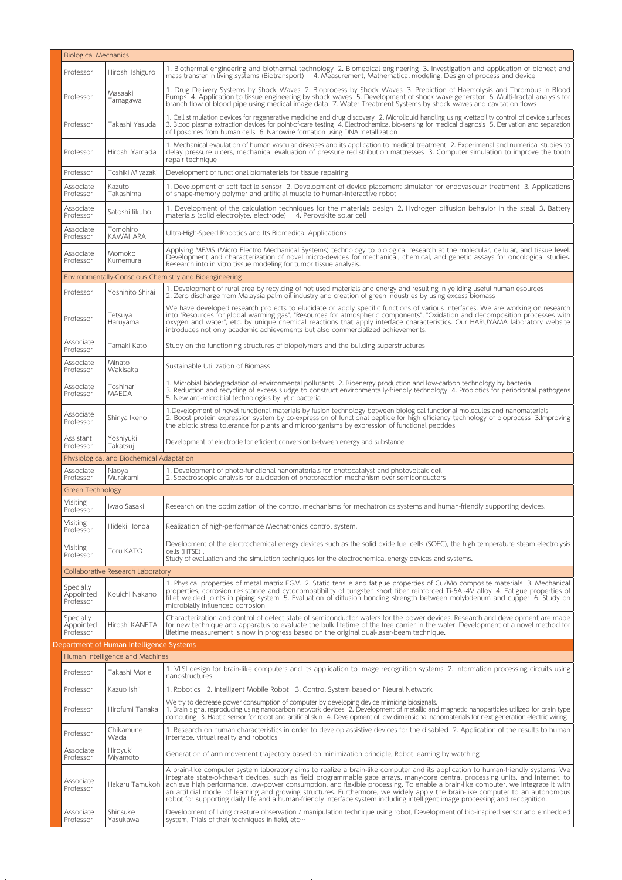|                                     | <b>Biological Mechanics</b>              |                                                                                                                                                                                                                                                                                                                                                                                                                                                                                                                                                                                                                                                                          |  |  |
|-------------------------------------|------------------------------------------|--------------------------------------------------------------------------------------------------------------------------------------------------------------------------------------------------------------------------------------------------------------------------------------------------------------------------------------------------------------------------------------------------------------------------------------------------------------------------------------------------------------------------------------------------------------------------------------------------------------------------------------------------------------------------|--|--|
| Professor                           | Hiroshi Ishiguro                         | 1. Biothermal engineering and biothermal technology 2. Biomedical engineering 3. Investigation and application of bioheat and<br>mass transfer in living systems (Biotransport)<br>4. Measurement, Mathematical modeling, Design of process and device                                                                                                                                                                                                                                                                                                                                                                                                                   |  |  |
| Professor                           | Masaaki<br>Tamagawa                      | 1. Drug Delivery Systems by Shock Waves 2. Bioprocess by Shock Waves 3. Prediction of Haemolysis and Thrombus in Blood<br>Pumps 4. Application to tissue engineering by shock waves 5. Development of shock wave generator 6. Multi-fractal analysis for<br>branch flow of blood pipe using medical image data 7. Water Treatment Systems by shock waves and cavitation flows                                                                                                                                                                                                                                                                                            |  |  |
| Professor                           | Takashi Yasuda                           | 1. Cell stimulation devices for regenerative medicine and drug discovery 2. Microliquid handling using wettability control of device surfaces<br>3. Blood plasma extraction devices for point-of-care testing 4. Electrochemical bio-sensing for medical diagnosis 5. Derivation and separation<br>of liposomes from human cells 6. Nanowire formation using DNA metallization                                                                                                                                                                                                                                                                                           |  |  |
| Professor                           | Hiroshi Yamada                           | 1. Mechanical evaulation of human vascular diseases and its application to medical treatment 2. Experimenal and numerical studies to<br>delay pressure ulcers, mechanical evaluation of pressure redistribution mattresses 3. Computer simulation to improve the tooth<br>repair technique                                                                                                                                                                                                                                                                                                                                                                               |  |  |
| Professor                           | Toshiki Miyazaki                         | Development of functional biomaterials for tissue repairing                                                                                                                                                                                                                                                                                                                                                                                                                                                                                                                                                                                                              |  |  |
| Associate<br>Professor              | Kazuto<br>Takashima                      | 1. Development of soft tactile sensor 2. Development of device placement simulator for endovascular treatment 3. Applications<br>of shape-memory polymer and artificial muscle to human-interactive robot                                                                                                                                                                                                                                                                                                                                                                                                                                                                |  |  |
| Associate<br>Professor              | Satoshi likubo                           | 1. Development of the calculation techniques for the materials design 2. Hydrogen diffusion behavior in the steal 3. Battery<br>materials (solid electrolyte, electrode) 4. Perovskite solar cell                                                                                                                                                                                                                                                                                                                                                                                                                                                                        |  |  |
| Associate<br>Professor              | Tomohiro<br><b>KAWAHARA</b>              | Ultra-High-Speed Robotics and Its Biomedical Applications                                                                                                                                                                                                                                                                                                                                                                                                                                                                                                                                                                                                                |  |  |
| Associate<br>Professor              | Momoko<br>Kumemura                       | Applying MEMS (Micro Electro Mechanical Systems) technology to biological research at the molecular, cellular, and tissue level.<br>Development and characterization of novel micro-devices for mechanical, chemical, and genetic assays for oncological studies.<br>Research into in vitro tissue modeling for tumor tissue analysis.                                                                                                                                                                                                                                                                                                                                   |  |  |
|                                     |                                          | Environmentally-Conscious Chemistry and Bioengineering                                                                                                                                                                                                                                                                                                                                                                                                                                                                                                                                                                                                                   |  |  |
| Professor                           | Yoshihito Shirai                         | 1. Development of rural area by recylcing of not used materials and energy and resulting in yeilding useful human esources<br>2. Zero discharge from Malaysia palm oil industry and creation of green industries by using excess biomass                                                                                                                                                                                                                                                                                                                                                                                                                                 |  |  |
| Professor                           | Tetsuya<br>Haruyama                      | We have developed research projects to elucidate or apply specific functions of various interfaces. We are working on research<br>into "Resources for global warming gas", "Resources for atmospheric components", "Oxidation and decomposition processes with<br>oxygen and water", etc. by unique chemical reactions that apply interface characteristics. Our HARUYAMA laboratory website<br>introduces not only academic achievements but also commercialized achievements.                                                                                                                                                                                          |  |  |
| Associate<br>Professor              | Tamaki Kato                              | Study on the functioning structures of biopolymers and the building superstructures                                                                                                                                                                                                                                                                                                                                                                                                                                                                                                                                                                                      |  |  |
| Associate<br>Professor              | Minato<br>Wakisaka                       | Sustainable Utilization of Biomass                                                                                                                                                                                                                                                                                                                                                                                                                                                                                                                                                                                                                                       |  |  |
| Associate<br>Professor              | Toshinari<br>MAEDA                       | 1. Microbial biodegradation of environmental pollutants 2. Bioenergy production and low-carbon technology by bacteria<br>3. Reduction and recycling of excess sludge to construct environmentally-friendly technology 4. Probiotics for periodontal pathogens<br>5. New anti-microbial technologies by lytic bacteria                                                                                                                                                                                                                                                                                                                                                    |  |  |
| Associate<br>Professor              | Shinya Ikeno                             | 1.Development of novel functional materials by fusion technology between biological functional molecules and nanomaterials<br>2. Boost protein expression system by co-expression of functional peptide for high efficiency technology of bioprocess 3. Improving<br>the abiotic stress tolerance for plants and microorganisms by expression of functional peptides                                                                                                                                                                                                                                                                                                     |  |  |
| Assistant<br>Professor              | Yoshiyuki<br>Takatsuji                   | Development of electrode for efficient conversion between energy and substance                                                                                                                                                                                                                                                                                                                                                                                                                                                                                                                                                                                           |  |  |
|                                     | Physiological and Biochemical Adaptation |                                                                                                                                                                                                                                                                                                                                                                                                                                                                                                                                                                                                                                                                          |  |  |
| Associate<br>Professor              | Naoya<br>Murakami                        | 1. Development of photo-functional nanomaterials for photocatalyst and photovoltaic cell<br>2. Spectroscopic analysis for elucidation of photoreaction mechanism over semiconductors                                                                                                                                                                                                                                                                                                                                                                                                                                                                                     |  |  |
| <b>Green Technology</b>             |                                          |                                                                                                                                                                                                                                                                                                                                                                                                                                                                                                                                                                                                                                                                          |  |  |
| Visiting<br>Professor               | Iwao Sasaki                              | Research on the optimization of the control mechanisms for mechatronics systems and human-friendly supporting devices.                                                                                                                                                                                                                                                                                                                                                                                                                                                                                                                                                   |  |  |
| Visiting<br>Professor               | Hideki Honda                             | Realization of high-performance Mechatronics control system.                                                                                                                                                                                                                                                                                                                                                                                                                                                                                                                                                                                                             |  |  |
| Visiting<br>Professor               | Toru KATO                                | Development of the electrochemical energy devices such as the solid oxide fuel cells (SOFC), the high temperature steam electrolysis<br>cells (HTSE).<br>Study of evaluation and the simulation techniques for the electrochemical energy devices and systems.                                                                                                                                                                                                                                                                                                                                                                                                           |  |  |
|                                     | Collaborative Research Laboratory        |                                                                                                                                                                                                                                                                                                                                                                                                                                                                                                                                                                                                                                                                          |  |  |
| Specially<br>Appointed<br>Professor | Kouichi Nakano                           | 1. Physical properties of metal matrix FGM 2. Static tensile and fatigue properties of Cu/Mo composite materials 3. Mechanical<br>properties, corrosion resistance and cytocompatibility of tungsten short fiber reinforced Ti-6Al-4V alloy 4. Fatigue properties of<br>fillet welded joints in piping system 5. Evaluation of diffusion bonding strength between molybdenum and cupper 6. Study on<br>microbially influenced corrosion                                                                                                                                                                                                                                  |  |  |
| Specially<br>Appointed<br>Professor | Hiroshi KANETA                           | Characterization and control of defect state of semiconductor wafers for the power devices. Research and development are made<br>for new technique and apparatus to evaluate the bulk lifetime of the free carrier in the wafer. Development of a novel method for<br>lifetime measurement is now in progress based on the original dual-laser-beam technique.                                                                                                                                                                                                                                                                                                           |  |  |
|                                     | Department of Human Intelligence Systems |                                                                                                                                                                                                                                                                                                                                                                                                                                                                                                                                                                                                                                                                          |  |  |
|                                     | Human Intelligence and Machines          |                                                                                                                                                                                                                                                                                                                                                                                                                                                                                                                                                                                                                                                                          |  |  |
| Professor                           | Takashi Morie                            | 1. VLSI design for brain-like computers and its application to image recognition systems 2. Information processing circuits using<br>nanostructures                                                                                                                                                                                                                                                                                                                                                                                                                                                                                                                      |  |  |
| Professor                           | Kazuo Ishii                              | 1. Robotics 2. Intelligent Mobile Robot 3. Control System based on Neural Network                                                                                                                                                                                                                                                                                                                                                                                                                                                                                                                                                                                        |  |  |
| Professor                           | Hirofumi Tanaka                          | We try to decrease power consumption of computer by developing device mimicing biosignals.<br>1. Brain signal reproducing using nanocarbon network devices 2. Development of metallic and magnetic nanoparticles utilized for brain type<br>computing 3. Haptic sensor for robot and artificial skin 4. Development of low dimensional nanomaterials for next generation electric wiring                                                                                                                                                                                                                                                                                 |  |  |
| Professor                           | Chikamune<br>Wada                        | 1. Research on human characteristics in order to develop assistive devices for the disabled 2. Application of the results to human<br>interface, virtual reality and robotics                                                                                                                                                                                                                                                                                                                                                                                                                                                                                            |  |  |
| Associate<br>Professor              | Hiroyuki<br>Miyamoto                     | Generation of arm movement trajectory based on minimization principle, Robot learning by watching                                                                                                                                                                                                                                                                                                                                                                                                                                                                                                                                                                        |  |  |
| Associate<br>Professor              | Hakaru Tamukoh                           | A brain-like computer system laboratory aims to realize a brain-like computer and its application to human-friendly systems. We<br>integrate state-of-the-art devices, such as field programmable gate arrays, many-core central processing units, and Internet, to<br>achieve high performance, low-power consumption, and flexible processing. To enable a brain-like computer, we integrate it with<br>an artificial model of learning and growing structures. Furthermore, we widely apply the brain-like computer to an autonomous<br>robot for supporting daily life and a human-friendly interface system including intelligent image processing and recognition. |  |  |
| Associate<br>Professor              | Shinsuke<br>Yasukawa                     | Development of living creature observation / manipulation technique using robot, Development of bio-inspired sensor and embedded<br>system, Trials of their techniques in field, etc                                                                                                                                                                                                                                                                                                                                                                                                                                                                                     |  |  |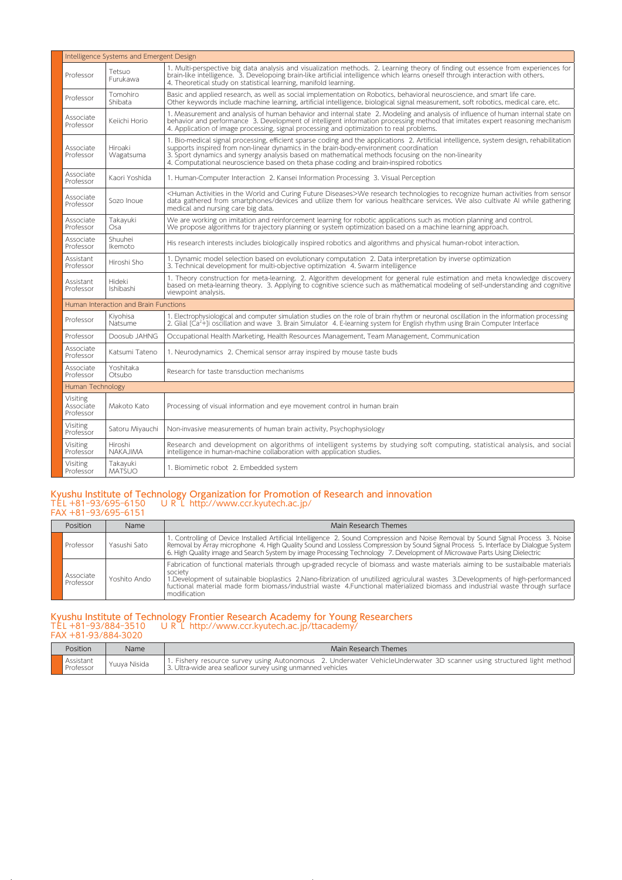|                                    | Intelligence Systems and Emergent Design |                                                                                                                                                                                                                                                                                                                                                                                                                                  |  |  |  |
|------------------------------------|------------------------------------------|----------------------------------------------------------------------------------------------------------------------------------------------------------------------------------------------------------------------------------------------------------------------------------------------------------------------------------------------------------------------------------------------------------------------------------|--|--|--|
| Professor                          | Tetsuo<br>Furukawa                       | 1. Multi-perspective big data analysis and visualization methods. 2. Learning theory of finding out essence from experiences for<br>brain-like intelligence. 3. Developoing brain-like artificial intelligence which learns oneself through interaction with others.<br>4. Theoretical study on statistical learning, manifold learning.                                                                                         |  |  |  |
| Professor                          | Tomohiro<br>Shibata                      | Basic and applied research, as well as social implementation on Robotics, behavioral neuroscience, and smart life care.<br>Other keywords include machine learning, artificial intelligence, biological signal measurement, soft robotics, medical care, etc.                                                                                                                                                                    |  |  |  |
| Associate<br>Professor             | Keiichi Horio                            | 1. Measurement and analysis of human behavior and internal state 2. Modeling and analysis of influence of human internal state on<br>behavior and performance 3. Development of intelligent information processing method that imitates expert reasoning mechanism<br>4. Application of image processing, signal processing and optimization to real problems.                                                                   |  |  |  |
| Associate<br>Professor             | Hiroaki<br>Wagatsuma                     | 1. Bio-medical signal processing, efficient sparse coding and the applications 2. Artificial intelligence, system design, rehabilitation<br>supports inspired from non-linear dynamics in the brain-body-environment coordination<br>3. Sport dynamics and synergy analysis based on mathematical methods focusing on the non-linearity<br>4. Computational neuroscience based on theta phase coding and brain-inspired robotics |  |  |  |
| Associate<br>Professor             | Kaori Yoshida                            | 1. Human-Computer Interaction 2. Kansei Information Processing 3. Visual Perception                                                                                                                                                                                                                                                                                                                                              |  |  |  |
| Associate<br>Professor             | Sozo Inque                               | <human activities="" and="" curing="" diseases="" future="" in="" the="" world="">We research technologies to recognize human activities from sensor<br/>data gathered from smartphones/devices and utilize them for various healthcare services. We also cultivate AI while gathering<br/>medical and nursing care big data.</human>                                                                                            |  |  |  |
| Associate<br>Professor             | Takayuki<br>Osa                          | We are working on imitation and reinforcement learning for robotic applications such as motion planning and control.<br>We propose algorithms for trajectory planning or system optimization based on a machine learning approach.                                                                                                                                                                                               |  |  |  |
| Associate<br>Professor             | Shuuhei<br>Ikemoto                       | His research interests includes biologically inspired robotics and algorithms and physical human-robot interaction.                                                                                                                                                                                                                                                                                                              |  |  |  |
| Assistant<br>Professor             | Hiroshi Sho                              | 1. Dynamic model selection based on evolutionary computation 2. Data interpretation by inverse optimization<br>3. Technical development for multi-objective optimization 4. Swarm intelligence                                                                                                                                                                                                                                   |  |  |  |
| Assistant<br>Professor             | Hideki<br>Ishibashi                      | 1. Theory construction for meta-learning. 2. Algorithm development for general rule estimation and meta knowledge discovery<br>based on meta-learning theory. 3. Applying to cognitive science such as mathematical modeling of self-understanding and cognitive<br>viewpoint analysis.                                                                                                                                          |  |  |  |
|                                    | Human Interaction and Brain Functions    |                                                                                                                                                                                                                                                                                                                                                                                                                                  |  |  |  |
| Professor                          | Kiyohisa<br>Natsume                      | 1. Electrophysiological and computer simulation studies on the role of brain rhythm or neuronal oscillation in the information processing<br>2. Glial [Ca <sup>2+</sup> ] i oscillation and wave 3. Brain Simulator 4. E-learning system for English rhythm using Brain Computer Interface                                                                                                                                       |  |  |  |
| Professor                          | Doosub JAHNG                             | Occupational Health Marketing, Health Resources Management, Team Management, Communication                                                                                                                                                                                                                                                                                                                                       |  |  |  |
| Associate<br>Professor             | Katsumi Tateno                           | 1. Neurodynamics 2. Chemical sensor array inspired by mouse taste buds                                                                                                                                                                                                                                                                                                                                                           |  |  |  |
| Associate<br>Professor             | Yoshitaka<br>Otsubo                      | Research for taste transduction mechanisms                                                                                                                                                                                                                                                                                                                                                                                       |  |  |  |
| Human Technology                   |                                          |                                                                                                                                                                                                                                                                                                                                                                                                                                  |  |  |  |
| Visiting<br>Associate<br>Professor | Makoto Kato                              | Processing of visual information and eye movement control in human brain                                                                                                                                                                                                                                                                                                                                                         |  |  |  |
| <b>Visiting</b><br>Professor       | Satoru Miyauchi                          | Non-invasive measurements of human brain activity, Psychophysiology                                                                                                                                                                                                                                                                                                                                                              |  |  |  |
| Visiting<br>Professor              | Hiroshi<br><b>NAKAJIMA</b>               | Research and development on algorithms of intelligent systems by studying soft computing, statistical analysis, and social<br>intelligence in human-machine collaboration with application studies.                                                                                                                                                                                                                              |  |  |  |
| Visiting<br>Professor              | Takayuki<br><b>MATŚUO</b>                | 1. Biomimetic robot 2. Embedded system                                                                                                                                                                                                                                                                                                                                                                                           |  |  |  |

#### Kyushu Institute of Technology Organization for Promotion of Research and innovation TEL +81‒93/695‒6150 URL http://www.ccr.kyutech.ac.jp/ FAX +81‒93/695‒6151

| Position               | <b>Name</b>  | Main Research Themes                                                                                                                                                                                                                                                                                                                                                                                                             |
|------------------------|--------------|----------------------------------------------------------------------------------------------------------------------------------------------------------------------------------------------------------------------------------------------------------------------------------------------------------------------------------------------------------------------------------------------------------------------------------|
| Professor              | Yasushi Sato | 1. Controlling of Device Installed Artificial Intelligence 2. Sound Compression and Noise Removal by Sound Signal Process 3. Noise<br>Removal by Array microphone 4. High Quality Sound and Lossless Compression by Sound Signal Process 5. Interface by Dialogue System<br>6. High Quality image and Search System by image Processing Technology 7. Development of Microwave Parts Using Dielectric                            |
| Associate<br>Professor | Yoshito Ando | Fabrication of functional materials through up-graded recycle of biomass and waste materials aiming to be sustaibable materials<br>society<br>1. Development of sutainable bioplastics 2. Nano-fibrization of unutilized agriculural wastes 3. Developments of high-performanced<br>fuctional material made form biomass/industrial waste 4.Functional materialized biomass and industrial waste through surface<br>modification |

## Kyushu Institute of Technology Frontier Research Academy for Young Researchers TEL +81‒93/884‒3510 URL http://www.ccr.kyutech.ac.jp/ttacademy/

FAX +81-93/884-3020 Position Name Name Main Research Themes Assistant<br>Professor Assistant | Yuuya Nisida | 1. Fishery resource survey using Autonomous 2. Underwater VehicleUnderwater 3D scanner using structured light method<br>Professor | Yuuya Nisida | 3. Ultra-wide area seafloor survey using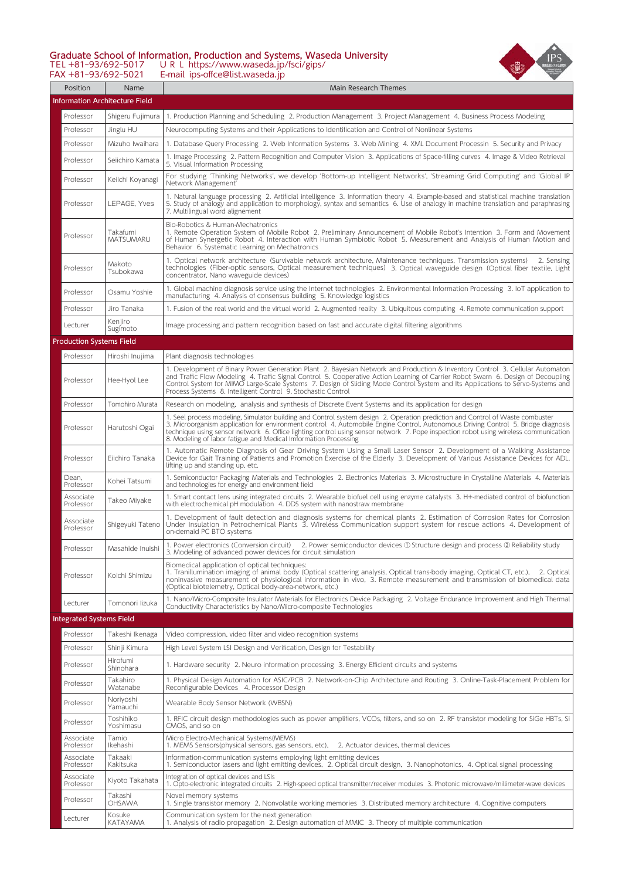#### Graduate School of Information, Production and Systems, Waseda University TEL +81‒93/692‒5017 URL https://www.waseda.jp/fsci/gips/



FAX +81‒93/692‒5021 E-mail ips-offce@list.waseda.jp

| Position                        | Name                                  | Main Research Themes                                                                                                                                                                                                                                                                                                                                                                                                                                                          |
|---------------------------------|---------------------------------------|-------------------------------------------------------------------------------------------------------------------------------------------------------------------------------------------------------------------------------------------------------------------------------------------------------------------------------------------------------------------------------------------------------------------------------------------------------------------------------|
|                                 | <b>Information Architecture Field</b> |                                                                                                                                                                                                                                                                                                                                                                                                                                                                               |
| Professor                       | Shigeru Fujimura                      | 1. Production Planning and Scheduling 2. Production Management 3. Project Management 4. Business Process Modeling                                                                                                                                                                                                                                                                                                                                                             |
| Professor                       | Jinglu HU                             | Neurocomputing Systems and their Applications to Identification and Control of Nonlinear Systems                                                                                                                                                                                                                                                                                                                                                                              |
| Professor                       | Mizuho Iwaihara                       | 1. Database Query Processing 2. Web Information Systems 3. Web Mining 4. XML Document Processin 5. Security and Privacy                                                                                                                                                                                                                                                                                                                                                       |
| Professor                       | Seiichiro Kamata                      | 1. Image Processing 2. Pattern Recognition and Computer Vision 3. Applications of Space-filling curves 4. Image & Video Retrieval<br>5. Visual Information Processing                                                                                                                                                                                                                                                                                                         |
| Professor                       | Keiichi Koyanagi                      | For studying 'Thinking Networks', we develop 'Bottom-up Intelligent Networks', 'Streaming Grid Computing' and 'Global IP<br>Network Management'                                                                                                                                                                                                                                                                                                                               |
| Professor                       | LEPAGE, Yves                          | 1. Natural language processing 2. Artificial intelligence 3. Information theory 4. Example-based and statistical machine translation<br>5. Study of analogy and application to morphology, syntax and semantics 6. Use of analogy in machine translation and paraphrasing<br>7. Multilingual word alignement                                                                                                                                                                  |
| Professor                       | Takafumi<br>MATSUMARU                 | Bio-Robotics & Human-Mechatronics<br>1. Remote Operation System of Mobile Robot 2. Preliminary Announcement of Mobile Robot's Intention 3. Form and Movement<br>of Human Synergetic Robot 4. Interaction with Human Symbiotic Robot 5. Measurement and Analysis of Human Motion and<br>Behavior 6. Systematic Learning on Mechatronics                                                                                                                                        |
| Professor                       | Makoto<br>Tsubokawa                   | 1. Optical network architecture (Survivable network architecture, Maintenance techniques, Transmission systems)<br>2. Sensing<br>technologies (Fiber-optic sensors, Optical measurement techniques) 3. Optical waveguide design (Optical fiber textile, Light<br>concentrator, Nano waveguide devices)                                                                                                                                                                        |
| Professor                       | Osamu Yoshie                          | 1. Global machine diagnosis service using the Internet technologies 2. Environmental Information Processing 3. IoT application to<br>manufacturing 4. Analysis of consensus building 5. Knowledge logistics                                                                                                                                                                                                                                                                   |
| Professor                       | Jiro Tanaka                           | 1. Fusion of the real world and the virtual world 2. Augmented reality 3. Ubiquitous computing 4. Remote communication support                                                                                                                                                                                                                                                                                                                                                |
| Lecturer                        | Kenjiro<br>Sugimoto                   | Image processing and pattern recognition based on fast and accurate digital filtering algorithms                                                                                                                                                                                                                                                                                                                                                                              |
| <b>Production Systems Field</b> |                                       |                                                                                                                                                                                                                                                                                                                                                                                                                                                                               |
| Professor                       | Hiroshi Inujima                       | Plant diagnosis technologies                                                                                                                                                                                                                                                                                                                                                                                                                                                  |
| Professor                       | Hee-Hyol Lee                          | 1. Development of Binary Power Generation Plant 2. Bayesian Network and Production & Inventory Control 3. Cellular Automaton<br>and Traffic Flow Modeling 4. Traffic Signal Control 5. Cooperative Action Learning of Carrier Robot Swarn 6. Design of Decoupling<br>Control System for MIMO Large-Scale Systems 7. Design of Sliding Mode Control System and Its Applications to Servo-Systems and<br>Process Systems 8. Intelligent Control 9. Stochastic Control           |
| Professor                       | Tomohiro Murata                       | Research on modeling, analysis and synthesis of Discrete Event Systems and its application for design                                                                                                                                                                                                                                                                                                                                                                         |
| Professor                       | Harutoshi Ogai                        | 1. Seel process modeling, Simulator building and Control system design 2. Operation prediction and Control of Waste combuster<br>3. Microorganism application for environment control 4. Automobile Engine Control, Autonomous Driving Control 5. Bridge diagnosis<br>technique using sensor network 6. Office lighting control using sensor network 7. Pope inspection robot using wireless communication<br>8. Modeling of labor fatigue and Medical Imformation Processing |
| Professor                       | Eiichiro Tanaka                       | 1. Automatic Remote Diagnosis of Gear Driving System Using a Small Laser Sensor 2. Development of a Walking Assistance<br>Device for Gait Training of Patients and Promotion Exercise of the Elderly 3. Development of Various Assistance Devices for ADL,<br>lifting up and standing up, etc.                                                                                                                                                                                |
| Dean,<br>Professor              | Kohei Tatsumi                         | 1. Semiconductor Packaging Materials and Technologies 2. Electronics Materials 3. Microstructure in Crystalline Materials 4. Materials<br>and technologies for energy and environment field                                                                                                                                                                                                                                                                                   |
| Associate<br>Professor          | Takeo Miyake                          | 1. Smart contact lens using integrated circuits 2. Wearable biofuel cell using enzyme catalysts 3. H+-mediated control of biofunction<br>with electrochemical pH modulation 4. DDS system with nanostraw membrane                                                                                                                                                                                                                                                             |
| Associate<br>Professor          | Shigeyuki Tateno                      | 1. Development of fault detection and diagnosis systems for chemical plants 2. Estimation of Corrosion Rates for Corrosion<br>Under Insulation in Petrochemical Plants 3. Wireless Communication support system for rescue actions 4. Development of<br>on-demaid PC BTO systems                                                                                                                                                                                              |
| Professor                       | Masahide Inuishi                      | 1. Power electronics (Conversion circuit) 2. Power semiconductor devices ① Structure design and process ② Reliability study<br>3. Modeling of advanced power devices for circuit simulation                                                                                                                                                                                                                                                                                   |
| Professor                       | Koichi Shimizu                        | Biomedical application of optical techniques:<br>1. Tranillumination imaging of animal body (Optical scattering analysis, Optical trans-body imaging, Optical CT, etc.), 2. Optical<br>noninvasive measurement of physiological information in vivo, 3. Remote measurement and transmission of biomedical data<br>(Optical biotelemetry, Optical body-area-network, etc.)                                                                                                     |
| Lecturer                        | Tomonori lizuka                       | 1. Nano/Micro-Composite Insulator Materials for Electronics Device Packaging 2. Voltage Endurance Improvement and High Thermal<br>Conductivity Characteristics by Nano/Micro-composite Technologies                                                                                                                                                                                                                                                                           |
| <b>Integrated Systems Field</b> |                                       |                                                                                                                                                                                                                                                                                                                                                                                                                                                                               |
| Professor                       | Takeshi Ikenaga                       | Video compression, video filter and video recognition systems                                                                                                                                                                                                                                                                                                                                                                                                                 |
| Professor                       | Shinji Kimura                         | High Level System LSI Design and Verification, Design for Testability                                                                                                                                                                                                                                                                                                                                                                                                         |
| Professor                       | Hirofumi<br>Shinohara                 | 1. Hardware security 2. Neuro information processing 3. Energy Efficient circuits and systems                                                                                                                                                                                                                                                                                                                                                                                 |
| Professor                       | Takahiro<br>Watanabe                  | 1. Physical Design Automation for ASIC/PCB 2. Network-on-Chip Architecture and Routing 3. Online-Task-Placement Problem for<br>Reconfigurable Devices 4. Processor Design                                                                                                                                                                                                                                                                                                     |
| Professor                       | Noriyoshi<br>Yamauchi                 | Wearable Body Sensor Network (WBSN)                                                                                                                                                                                                                                                                                                                                                                                                                                           |
| Professor                       | Toshihiko<br>Yoshimasu                | 1. RFIC circuit design methodologies such as power amplifiers, VCOs, filters, and so on 2. RF transistor modeling for SiGe HBTs, Si<br>CMOS, and so on                                                                                                                                                                                                                                                                                                                        |
| Associate<br>Professor          | Tamio<br>Ikehashi                     | Micro Electro-Mechanical Systems(MEMS)<br>1. MEMS Sensors(physical sensors, gas sensors, etc), 2. Actuator devices, thermal devices                                                                                                                                                                                                                                                                                                                                           |
| Associate<br>Professor          | Takaaki<br>Kakitsuka                  | Information-communication systems employing light emitting devices<br>1. Semiconductor lasers and light emitting devices, 2. Optical circuit design, 3. Nanophotonics, 4. Optical signal processing                                                                                                                                                                                                                                                                           |
| Associate<br>Professor          | Kiyoto Takahata                       | Integration of optical devices and LSIs<br>1. Opto-electronic integrated circuits 2. High-speed optical transmitter/receiver modules 3. Photonic microwave/millimeter-wave devices                                                                                                                                                                                                                                                                                            |
| Professor                       | Takashi<br>OHSAWA                     | Novel memory systems<br>1. Single transistor memory 2. Nonvolatile working memories 3. Distributed memory architecture 4. Cognitive computers                                                                                                                                                                                                                                                                                                                                 |
| Lecturer                        | Kosuke<br>KATAYAMA                    | Communication system for the next generation<br>1. Analysis of radio propagation 2. Design automation of MMIC 3. Theory of multiple communication                                                                                                                                                                                                                                                                                                                             |